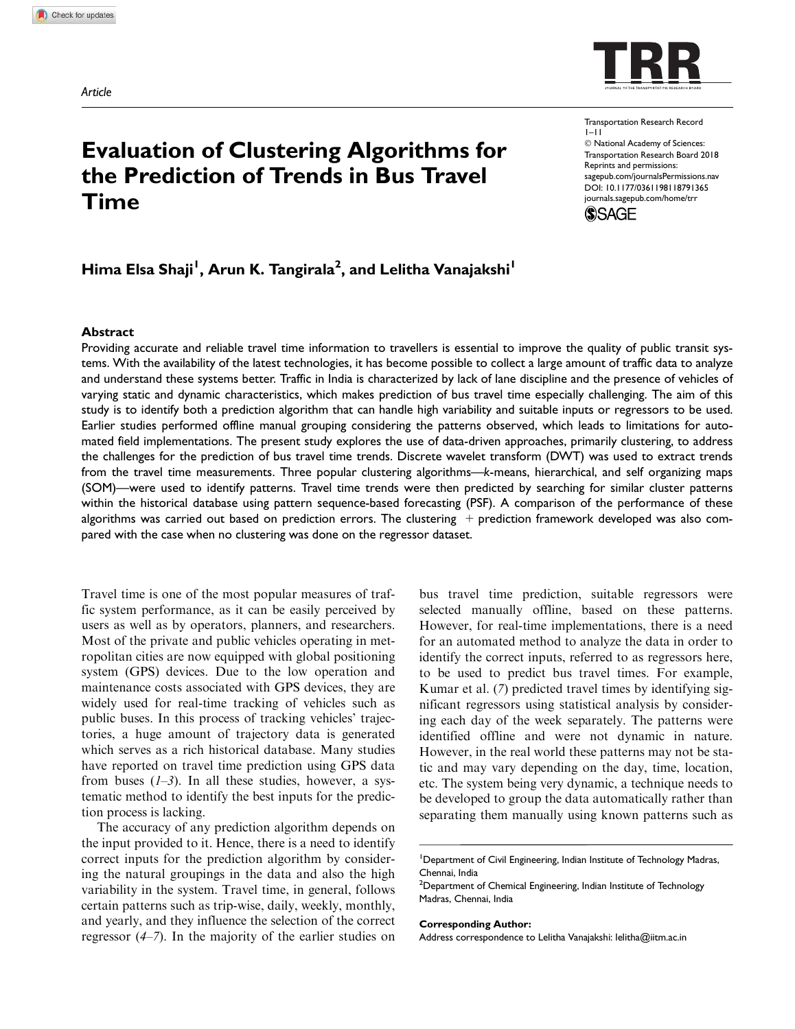

# Evaluation of Clustering Algorithms for the Prediction of Trends in Bus Travel Time

## Hima Elsa Shaji<sup>l</sup>, Arun K. Tangirala<sup>2</sup>, and Lelitha Vanajakshi<sup>l</sup>

#### Abstract

Transportation Research Record  $1 - 11$  $©$  National Academy of Sciences: Transportation Research Board 2018 Reprints and permissions: sagepub.com/journalsPermissions.nav DOI: 10.1177/0361198118791365 journals.sagepub.com/home/trr



Providing accurate and reliable travel time information to travellers is essential to improve the quality of public transit systems. With the availability of the latest technologies, it has become possible to collect a large amount of traffic data to analyze and understand these systems better. Traffic in India is characterized by lack of lane discipline and the presence of vehicles of varying static and dynamic characteristics, which makes prediction of bus travel time especially challenging. The aim of this study is to identify both a prediction algorithm that can handle high variability and suitable inputs or regressors to be used. Earlier studies performed offline manual grouping considering the patterns observed, which leads to limitations for automated field implementations. The present study explores the use of data-driven approaches, primarily clustering, to address the challenges for the prediction of bus travel time trends. Discrete wavelet transform (DWT) was used to extract trends from the travel time measurements. Three popular clustering algorithms—k-means, hierarchical, and self organizing maps (SOM)—were used to identify patterns. Travel time trends were then predicted by searching for similar cluster patterns within the historical database using pattern sequence-based forecasting (PSF). A comparison of the performance of these algorithms was carried out based on prediction errors. The clustering  $+$  prediction framework developed was also compared with the case when no clustering was done on the regressor dataset.

Travel time is one of the most popular measures of traffic system performance, as it can be easily perceived by users as well as by operators, planners, and researchers. Most of the private and public vehicles operating in metropolitan cities are now equipped with global positioning system (GPS) devices. Due to the low operation and maintenance costs associated with GPS devices, they are widely used for real-time tracking of vehicles such as public buses. In this process of tracking vehicles' trajectories, a huge amount of trajectory data is generated which serves as a rich historical database. Many studies have reported on travel time prediction using GPS data from buses  $(1-3)$ . In all these studies, however, a systematic method to identify the best inputs for the prediction process is lacking.

The accuracy of any prediction algorithm depends on the input provided to it. Hence, there is a need to identify correct inputs for the prediction algorithm by considering the natural groupings in the data and also the high variability in the system. Travel time, in general, follows certain patterns such as trip-wise, daily, weekly, monthly, and yearly, and they influence the selection of the correct regressor (*4*–*7*). In the majority of the earlier studies on bus travel time prediction, suitable regressors were selected manually offline, based on these patterns. However, for real-time implementations, there is a need for an automated method to analyze the data in order to identify the correct inputs, referred to as regressors here, to be used to predict bus travel times. For example, Kumar et al. (*7*) predicted travel times by identifying significant regressors using statistical analysis by considering each day of the week separately. The patterns were identified offline and were not dynamic in nature. However, in the real world these patterns may not be static and may vary depending on the day, time, location, etc. The system being very dynamic, a technique needs to be developed to group the data automatically rather than separating them manually using known patterns such as

#### Corresponding Author:

Address correspondence to Lelitha Vanajakshi: lelitha@iitm.ac.in

<sup>&</sup>lt;sup>1</sup>Department of Civil Engineering, Indian Institute of Technology Madras, Chennai, India

<sup>&</sup>lt;sup>2</sup>Department of Chemical Engineering, Indian Institute of Technology Madras, Chennai, India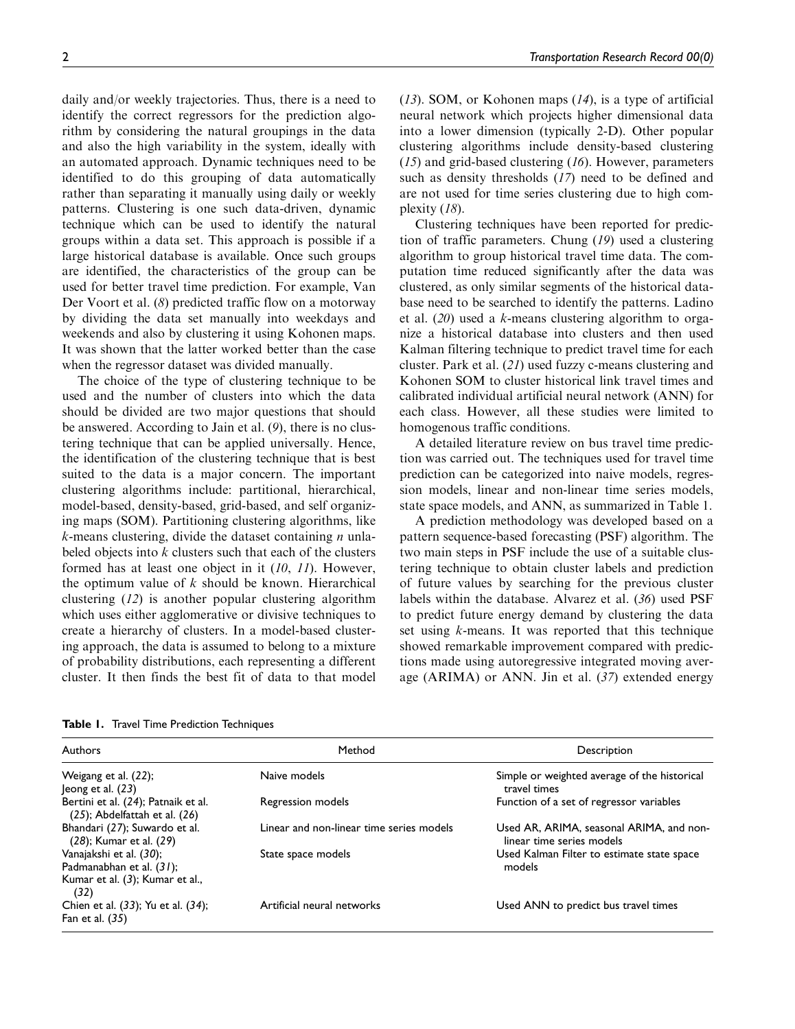daily and/or weekly trajectories. Thus, there is a need to identify the correct regressors for the prediction algorithm by considering the natural groupings in the data and also the high variability in the system, ideally with an automated approach. Dynamic techniques need to be identified to do this grouping of data automatically rather than separating it manually using daily or weekly patterns. Clustering is one such data-driven, dynamic technique which can be used to identify the natural groups within a data set. This approach is possible if a large historical database is available. Once such groups are identified, the characteristics of the group can be used for better travel time prediction. For example, Van Der Voort et al. (*8*) predicted traffic flow on a motorway by dividing the data set manually into weekdays and weekends and also by clustering it using Kohonen maps. It was shown that the latter worked better than the case when the regressor dataset was divided manually.

The choice of the type of clustering technique to be used and the number of clusters into which the data should be divided are two major questions that should be answered. According to Jain et al. (*9*), there is no clustering technique that can be applied universally. Hence, the identification of the clustering technique that is best suited to the data is a major concern. The important clustering algorithms include: partitional, hierarchical, model-based, density-based, grid-based, and self organizing maps (SOM). Partitioning clustering algorithms, like *k*-means clustering, divide the dataset containing *n* unlabeled objects into *k* clusters such that each of the clusters formed has at least one object in it (*10*, *11*). However, the optimum value of *k* should be known. Hierarchical clustering (*12*) is another popular clustering algorithm which uses either agglomerative or divisive techniques to create a hierarchy of clusters. In a model-based clustering approach, the data is assumed to belong to a mixture of probability distributions, each representing a different cluster. It then finds the best fit of data to that model (*13*). SOM, or Kohonen maps (*14*), is a type of artificial neural network which projects higher dimensional data into a lower dimension (typically 2-D). Other popular clustering algorithms include density-based clustering (*15*) and grid-based clustering (*16*). However, parameters such as density thresholds (*17*) need to be defined and are not used for time series clustering due to high complexity (*18*).

Clustering techniques have been reported for prediction of traffic parameters. Chung (*19*) used a clustering algorithm to group historical travel time data. The computation time reduced significantly after the data was clustered, as only similar segments of the historical database need to be searched to identify the patterns. Ladino et al. (*20*) used a *k*-means clustering algorithm to organize a historical database into clusters and then used Kalman filtering technique to predict travel time for each cluster. Park et al. (*21*) used fuzzy c-means clustering and Kohonen SOM to cluster historical link travel times and calibrated individual artificial neural network (ANN) for each class. However, all these studies were limited to homogenous traffic conditions.

A detailed literature review on bus travel time prediction was carried out. The techniques used for travel time prediction can be categorized into naive models, regression models, linear and non-linear time series models, state space models, and ANN, as summarized in Table 1.

A prediction methodology was developed based on a pattern sequence-based forecasting (PSF) algorithm. The two main steps in PSF include the use of a suitable clustering technique to obtain cluster labels and prediction of future values by searching for the previous cluster labels within the database. Alvarez et al. (*36*) used PSF to predict future energy demand by clustering the data set using *k*-means. It was reported that this technique showed remarkable improvement compared with predictions made using autoregressive integrated moving average (ARIMA) or ANN. Jin et al. (*37*) extended energy

Table 1. Travel Time Prediction Techniques

| Authors                                                                                | Method                                   | Description                                                           |
|----------------------------------------------------------------------------------------|------------------------------------------|-----------------------------------------------------------------------|
| Weigang et al. (22);<br>Jeong et al. (23)                                              | Naive models                             | Simple or weighted average of the historical<br>travel times          |
| Bertini et al. (24); Patnaik et al.<br>$(25)$ ; Abdelfattah et al. $(26)$              | Regression models                        | Function of a set of regressor variables                              |
| Bhandari (27); Suwardo et al.<br>(28); Kumar et al. (29)                               | Linear and non-linear time series models | Used AR, ARIMA, seasonal ARIMA, and non-<br>linear time series models |
| Vanajakshi et al. (30);<br>Padmanabhan et al. (31);<br>Kumar et al. (3); Kumar et al., | State space models                       | Used Kalman Filter to estimate state space<br>models                  |
| (32)<br>Chien et al. (33); Yu et al. (34);<br>Fan et al. $(35)$                        | Artificial neural networks               | Used ANN to predict bus travel times                                  |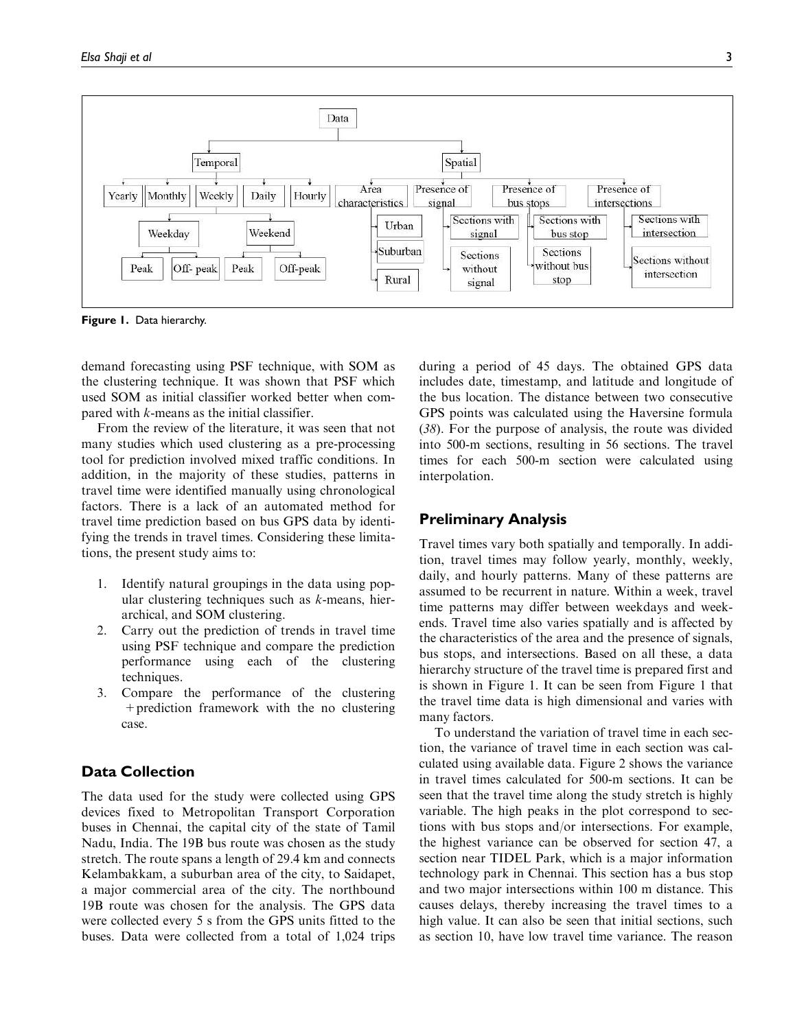

Figure 1. Data hierarchy.

demand forecasting using PSF technique, with SOM as the clustering technique. It was shown that PSF which used SOM as initial classifier worked better when compared with *k*-means as the initial classifier.

From the review of the literature, it was seen that not many studies which used clustering as a pre-processing tool for prediction involved mixed traffic conditions. In addition, in the majority of these studies, patterns in travel time were identified manually using chronological factors. There is a lack of an automated method for travel time prediction based on bus GPS data by identifying the trends in travel times. Considering these limitations, the present study aims to:

- 1. Identify natural groupings in the data using popular clustering techniques such as *k*-means, hierarchical, and SOM clustering.
- 2. Carry out the prediction of trends in travel time using PSF technique and compare the prediction performance using each of the clustering techniques.
- 3. Compare the performance of the clustering +prediction framework with the no clustering case.

## Data Collection

The data used for the study were collected using GPS devices fixed to Metropolitan Transport Corporation buses in Chennai, the capital city of the state of Tamil Nadu, India. The 19B bus route was chosen as the study stretch. The route spans a length of 29.4 km and connects Kelambakkam, a suburban area of the city, to Saidapet, a major commercial area of the city. The northbound 19B route was chosen for the analysis. The GPS data were collected every 5 s from the GPS units fitted to the buses. Data were collected from a total of 1,024 trips

during a period of 45 days. The obtained GPS data includes date, timestamp, and latitude and longitude of the bus location. The distance between two consecutive GPS points was calculated using the Haversine formula (*38*). For the purpose of analysis, the route was divided into 500-m sections, resulting in 56 sections. The travel times for each 500-m section were calculated using interpolation.

## Preliminary Analysis

Travel times vary both spatially and temporally. In addition, travel times may follow yearly, monthly, weekly, daily, and hourly patterns. Many of these patterns are assumed to be recurrent in nature. Within a week, travel time patterns may differ between weekdays and weekends. Travel time also varies spatially and is affected by the characteristics of the area and the presence of signals, bus stops, and intersections. Based on all these, a data hierarchy structure of the travel time is prepared first and is shown in Figure 1. It can be seen from Figure 1 that the travel time data is high dimensional and varies with many factors.

To understand the variation of travel time in each section, the variance of travel time in each section was calculated using available data. Figure 2 shows the variance in travel times calculated for 500-m sections. It can be seen that the travel time along the study stretch is highly variable. The high peaks in the plot correspond to sections with bus stops and/or intersections. For example, the highest variance can be observed for section 47, a section near TIDEL Park, which is a major information technology park in Chennai. This section has a bus stop and two major intersections within 100 m distance. This causes delays, thereby increasing the travel times to a high value. It can also be seen that initial sections, such as section 10, have low travel time variance. The reason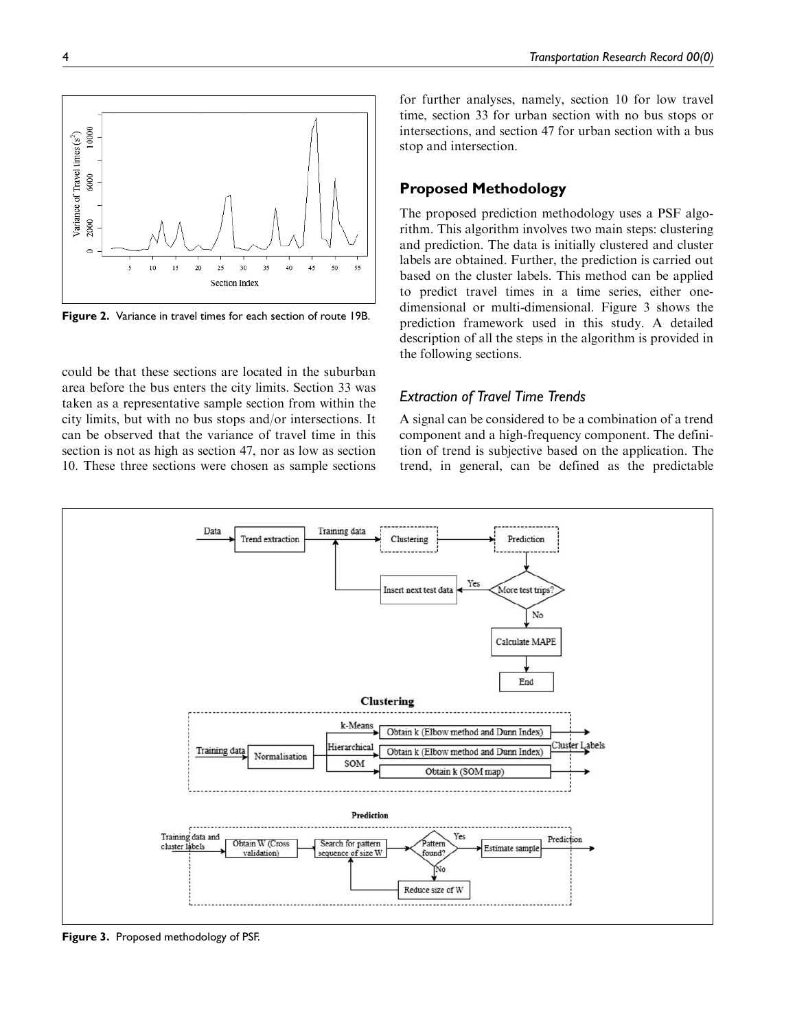

Figure 2. Variance in travel times for each section of route 19B.

could be that these sections are located in the suburban area before the bus enters the city limits. Section 33 was taken as a representative sample section from within the city limits, but with no bus stops and/or intersections. It can be observed that the variance of travel time in this section is not as high as section 47, nor as low as section 10. These three sections were chosen as sample sections for further analyses, namely, section 10 for low travel time, section 33 for urban section with no bus stops or intersections, and section 47 for urban section with a bus stop and intersection.

## Proposed Methodology

The proposed prediction methodology uses a PSF algorithm. This algorithm involves two main steps: clustering and prediction. The data is initially clustered and cluster labels are obtained. Further, the prediction is carried out based on the cluster labels. This method can be applied to predict travel times in a time series, either onedimensional or multi-dimensional. Figure 3 shows the prediction framework used in this study. A detailed description of all the steps in the algorithm is provided in the following sections.

## Extraction of Travel Time Trends

A signal can be considered to be a combination of a trend component and a high-frequency component. The definition of trend is subjective based on the application. The trend, in general, can be defined as the predictable



Figure 3. Proposed methodology of PSF.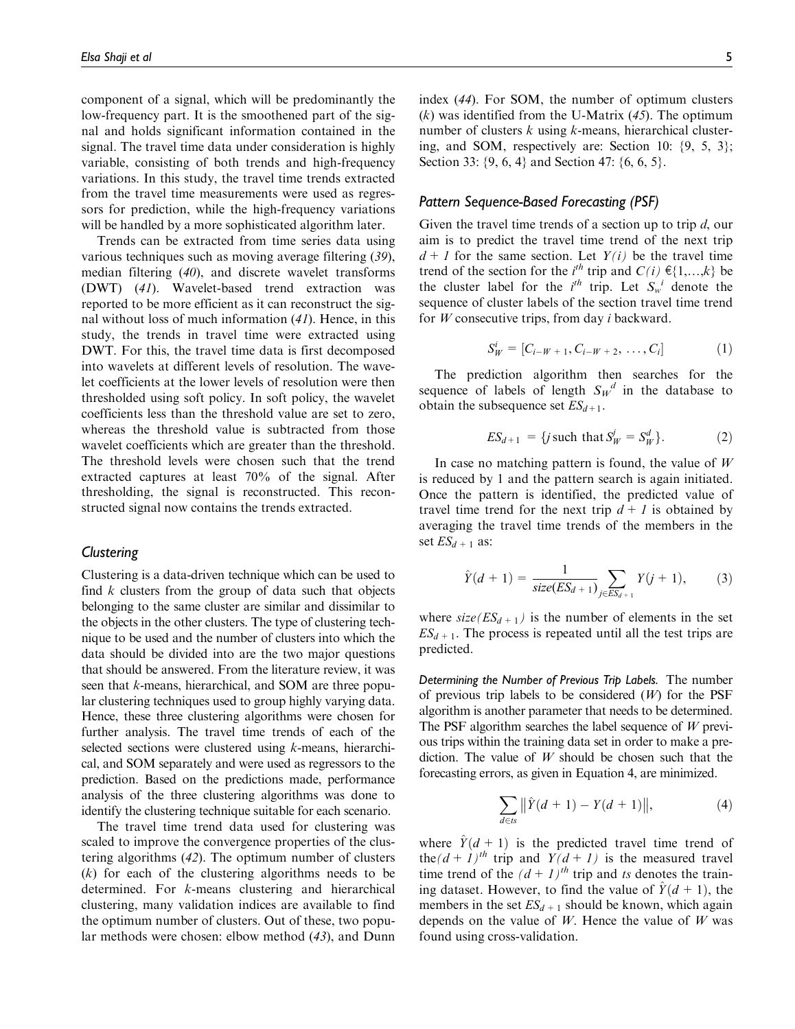component of a signal, which will be predominantly the low-frequency part. It is the smoothened part of the signal and holds significant information contained in the signal. The travel time data under consideration is highly variable, consisting of both trends and high-frequency variations. In this study, the travel time trends extracted from the travel time measurements were used as regressors for prediction, while the high-frequency variations will be handled by a more sophisticated algorithm later.

Trends can be extracted from time series data using various techniques such as moving average filtering (*39*), median filtering (*40*), and discrete wavelet transforms (DWT) (*41*). Wavelet-based trend extraction was reported to be more efficient as it can reconstruct the signal without loss of much information (*41*). Hence, in this study, the trends in travel time were extracted using DWT. For this, the travel time data is first decomposed into wavelets at different levels of resolution. The wavelet coefficients at the lower levels of resolution were then thresholded using soft policy. In soft policy, the wavelet coefficients less than the threshold value are set to zero, whereas the threshold value is subtracted from those wavelet coefficients which are greater than the threshold. The threshold levels were chosen such that the trend extracted captures at least 70% of the signal. After thresholding, the signal is reconstructed. This reconstructed signal now contains the trends extracted.

### **Clustering**

Clustering is a data-driven technique which can be used to find *k* clusters from the group of data such that objects belonging to the same cluster are similar and dissimilar to the objects in the other clusters. The type of clustering technique to be used and the number of clusters into which the data should be divided into are the two major questions that should be answered. From the literature review, it was seen that *k*-means, hierarchical, and SOM are three popular clustering techniques used to group highly varying data. Hence, these three clustering algorithms were chosen for further analysis. The travel time trends of each of the selected sections were clustered using *k*-means, hierarchical, and SOM separately and were used as regressors to the prediction. Based on the predictions made, performance analysis of the three clustering algorithms was done to identify the clustering technique suitable for each scenario.

The travel time trend data used for clustering was scaled to improve the convergence properties of the clustering algorithms (*42*). The optimum number of clusters (*k*) for each of the clustering algorithms needs to be determined. For *k*-means clustering and hierarchical clustering, many validation indices are available to find the optimum number of clusters. Out of these, two popular methods were chosen: elbow method (*43*), and Dunn

index (*44*). For SOM, the number of optimum clusters (*k*) was identified from the U-Matrix (*45*). The optimum number of clusters *k* using *k*-means, hierarchical clustering, and SOM, respectively are: Section 10: {9, 5, 3}; Section 33: {9, 6, 4} and Section 47: {6, 6, 5}.

#### Pattern Sequence-Based Forecasting (PSF)

Given the travel time trends of a section up to trip *d*, our aim is to predict the travel time trend of the next trip  $d + 1$  for the same section. Let  $Y(i)$  be the travel time trend of the section for the *i*<sup>th</sup> trip and  $C(i) \in \{1,...,k\}$  be the cluster label for the  $i^{th}$  trip. Let  $S_w$ <sup>*i*</sup> denote the sequence of cluster labels of the section travel time trend for *W* consecutive trips, from day *i* backward.

$$
S_W^i = [C_{i-W+1}, C_{i-W+2}, \ldots, C_i]
$$
 (1)

The prediction algorithm then searches for the sequence of labels of length  $S_W^d$  in the database to obtain the subsequence set  $ES_{d+1}$ .

$$
ES_{d+1} = \{ j \text{ such that } S_W^j = S_W^d \}. \tag{2}
$$

In case no matching pattern is found, the value of *W* is reduced by 1 and the pattern search is again initiated. Once the pattern is identified, the predicted value of travel time trend for the next trip  $d + 1$  is obtained by averaging the travel time trends of the members in the set  $ES_{d+1}$  as:

$$
\hat{Y}(d+1) = \frac{1}{size(ES_{d+1})} \sum_{j \in ES_{d+1}} Y(j+1),
$$
 (3)

where  $size(ES_{d+1})$  is the number of elements in the set  $ES_{d+1}$ . The process is repeated until all the test trips are predicted.

Determining the Number of Previous Trip Labels. The number of previous trip labels to be considered (*W*) for the PSF algorithm is another parameter that needs to be determined. The PSF algorithm searches the label sequence of *W* previous trips within the training data set in order to make a prediction. The value of *W* should be chosen such that the forecasting errors, as given in Equation 4, are minimized.

$$
\sum_{d \in ts} \|\hat{Y}(d+1) - Y(d+1)\|,\tag{4}
$$

where  $\hat{Y}$ (d + 1) is the predicted travel time trend of the $(d + 1)^{th}$  trip and  $Y(d + 1)$  is the measured travel time trend of the  $(d + 1)^{th}$  trip and *ts* denotes the training dataset. However, to find the value of  $\hat{Y}$   $(d + 1)$ , the members in the set  $ES_{d+1}$  should be known, which again depends on the value of *W*. Hence the value of *W* was found using cross-validation.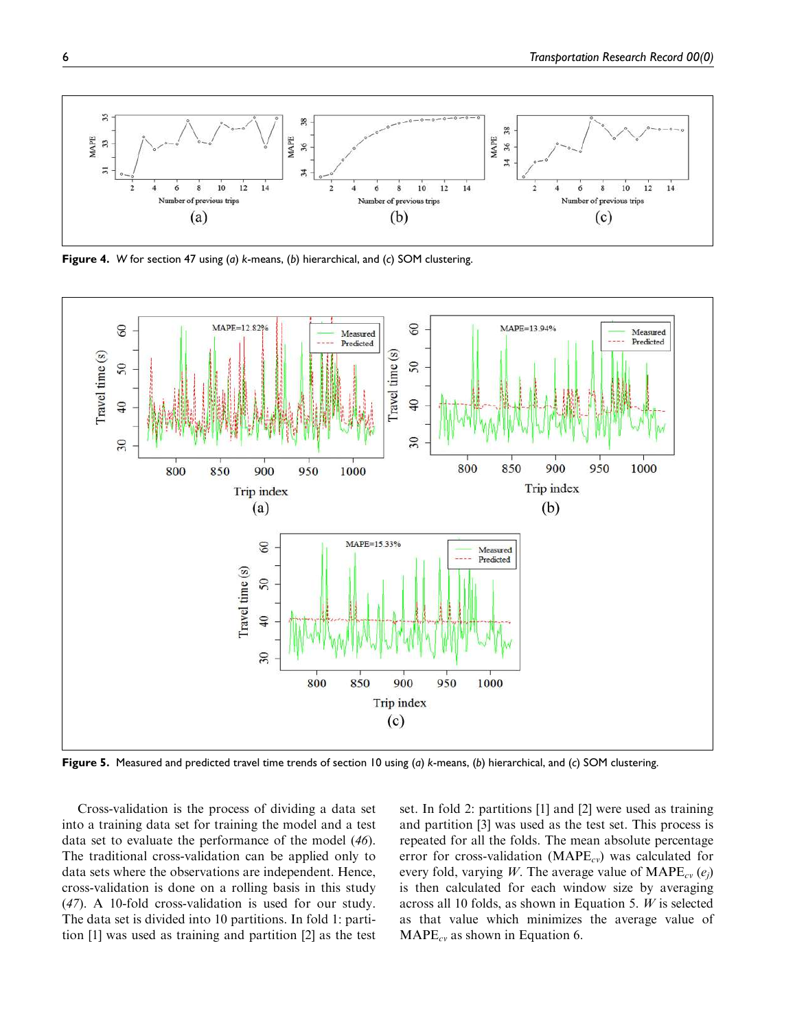

**Figure 4.** W for section 47 using (a) k-means, (b) hierarchical, and (c) SOM clustering.



Figure 5. Measured and predicted travel time trends of section 10 using (a) k-means, (b) hierarchical, and (c) SOM clustering.

Cross-validation is the process of dividing a data set into a training data set for training the model and a test data set to evaluate the performance of the model (*46*). The traditional cross-validation can be applied only to data sets where the observations are independent. Hence, cross-validation is done on a rolling basis in this study (*47*). A 10-fold cross-validation is used for our study. The data set is divided into 10 partitions. In fold 1: partition [1] was used as training and partition [2] as the test

set. In fold 2: partitions [1] and [2] were used as training and partition [3] was used as the test set. This process is repeated for all the folds. The mean absolute percentage error for cross-validation (MAPE*cv*) was calculated for every fold, varying *W*. The average value of MAPE*cv* (*e<sup>j</sup>* ) is then calculated for each window size by averaging across all 10 folds, as shown in Equation 5. *W* is selected as that value which minimizes the average value of MAPE*cv* as shown in Equation 6.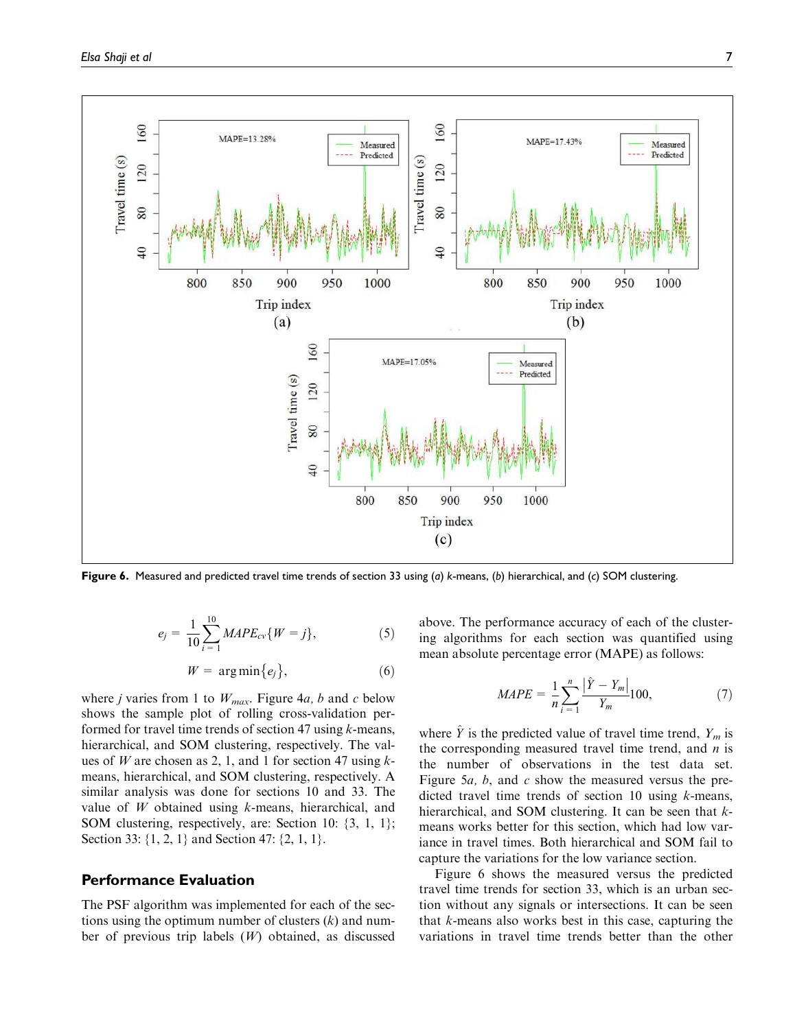

Figure 6. Measured and predicted travel time trends of section 33 using (a) k-means, (b) hierarchical, and (c) SOM clustering.

$$
e_j = \frac{1}{10} \sum_{i=1}^{10} MAPE_{cv} \{ W = j \}, \tag{5}
$$

$$
W = \arg\min\{e_j\},\tag{6}
$$

where *j* varies from 1 to  $W_{max}$ . Figure 4*a*, *b* and *c* below shows the sample plot of rolling cross-validation performed for travel time trends of section 47 using *k*-means, hierarchical, and SOM clustering, respectively. The values of *W* are chosen as 2, 1, and 1 for section 47 using *k*means, hierarchical, and SOM clustering, respectively. A similar analysis was done for sections 10 and 33. The value of *W* obtained using *k*-means, hierarchical, and SOM clustering, respectively, are: Section 10: {3, 1, 1}; Section 33: {1, 2, 1} and Section 47: {2, 1, 1}.

### Performance Evaluation

The PSF algorithm was implemented for each of the sections using the optimum number of clusters (*k*) and number of previous trip labels (*W*) obtained, as discussed above. The performance accuracy of each of the clustering algorithms for each section was quantified using mean absolute percentage error (MAPE) as follows:

$$
MAPE = \frac{1}{n} \sum_{i=1}^{n} \frac{|\hat{Y} - Y_m|}{Y_m} 100,
$$
 (7)

where  $\hat{Y}$  is the predicted value of travel time trend,  $Y_m$  is the corresponding measured travel time trend, and *n* is the number of observations in the test data set. Figure 5*a, b*, and *c* show the measured versus the predicted travel time trends of section 10 using *k*-means, hierarchical, and SOM clustering. It can be seen that *k*means works better for this section, which had low variance in travel times. Both hierarchical and SOM fail to capture the variations for the low variance section.

Figure 6 shows the measured versus the predicted travel time trends for section 33, which is an urban section without any signals or intersections. It can be seen that *k*-means also works best in this case, capturing the variations in travel time trends better than the other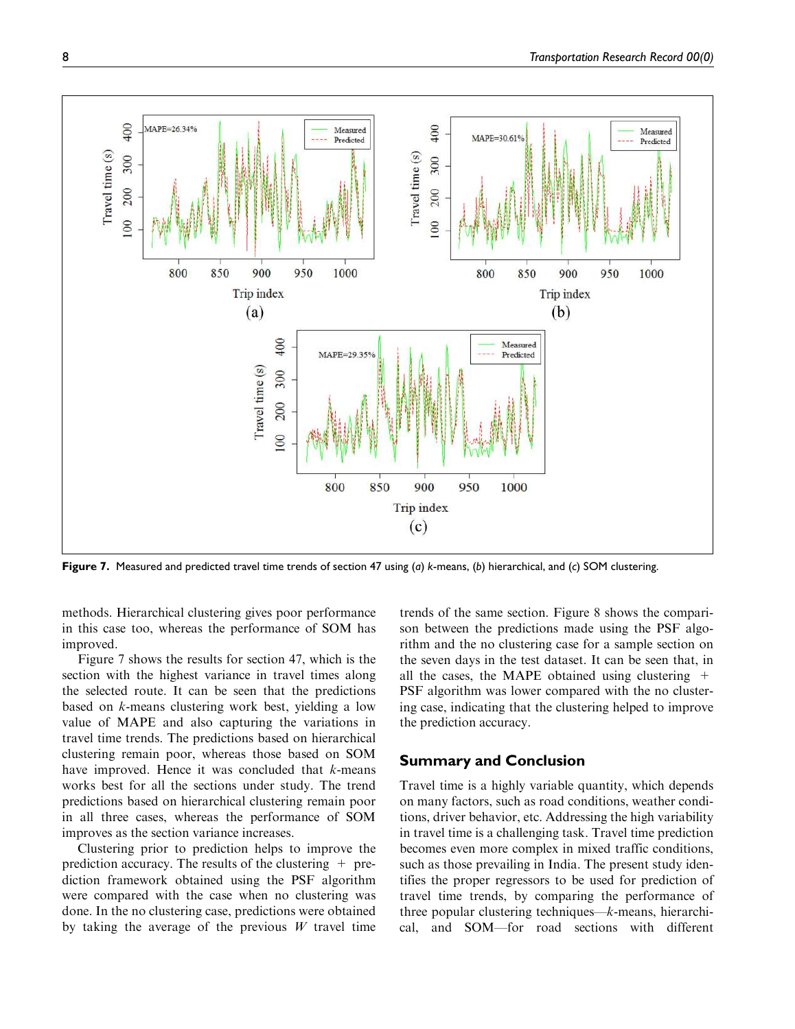

Figure 7. Measured and predicted travel time trends of section 47 using (a) k-means, (b) hierarchical, and (c) SOM clustering.

methods. Hierarchical clustering gives poor performance in this case too, whereas the performance of SOM has improved.

Figure 7 shows the results for section 47, which is the section with the highest variance in travel times along the selected route. It can be seen that the predictions based on *k*-means clustering work best, yielding a low value of MAPE and also capturing the variations in travel time trends. The predictions based on hierarchical clustering remain poor, whereas those based on SOM have improved. Hence it was concluded that *k*-means works best for all the sections under study. The trend predictions based on hierarchical clustering remain poor in all three cases, whereas the performance of SOM improves as the section variance increases.

Clustering prior to prediction helps to improve the prediction accuracy. The results of the clustering  $+$  prediction framework obtained using the PSF algorithm were compared with the case when no clustering was done. In the no clustering case, predictions were obtained by taking the average of the previous *W* travel time

trends of the same section. Figure 8 shows the comparison between the predictions made using the PSF algorithm and the no clustering case for a sample section on the seven days in the test dataset. It can be seen that, in all the cases, the MAPE obtained using clustering  $+$ PSF algorithm was lower compared with the no clustering case, indicating that the clustering helped to improve the prediction accuracy.

### Summary and Conclusion

Travel time is a highly variable quantity, which depends on many factors, such as road conditions, weather conditions, driver behavior, etc. Addressing the high variability in travel time is a challenging task. Travel time prediction becomes even more complex in mixed traffic conditions, such as those prevailing in India. The present study identifies the proper regressors to be used for prediction of travel time trends, by comparing the performance of three popular clustering techniques—*k*-means, hierarchical, and SOM—for road sections with different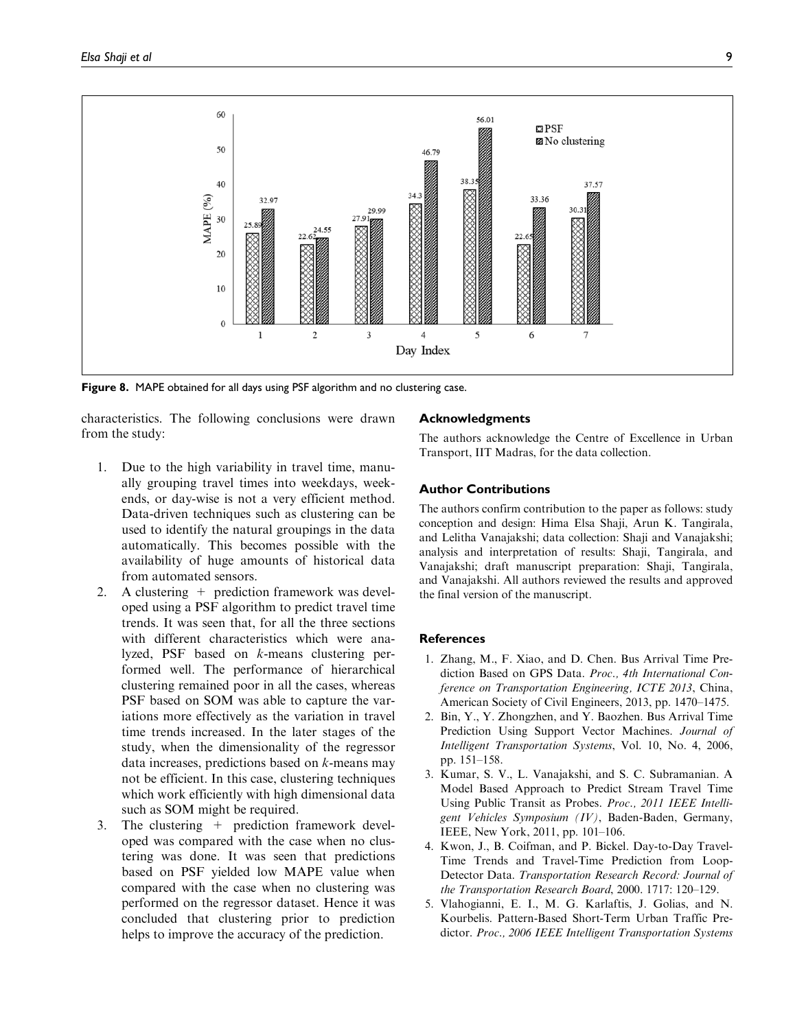

Figure 8. MAPE obtained for all days using PSF algorithm and no clustering case.

characteristics. The following conclusions were drawn from the study:

- 1. Due to the high variability in travel time, manually grouping travel times into weekdays, weekends, or day-wise is not a very efficient method. Data-driven techniques such as clustering can be used to identify the natural groupings in the data automatically. This becomes possible with the availability of huge amounts of historical data from automated sensors.
- 2. A clustering + prediction framework was developed using a PSF algorithm to predict travel time trends. It was seen that, for all the three sections with different characteristics which were analyzed, PSF based on *k*-means clustering performed well. The performance of hierarchical clustering remained poor in all the cases, whereas PSF based on SOM was able to capture the variations more effectively as the variation in travel time trends increased. In the later stages of the study, when the dimensionality of the regressor data increases, predictions based on *k*-means may not be efficient. In this case, clustering techniques which work efficiently with high dimensional data such as SOM might be required.
- 3. The clustering + prediction framework developed was compared with the case when no clustering was done. It was seen that predictions based on PSF yielded low MAPE value when compared with the case when no clustering was performed on the regressor dataset. Hence it was concluded that clustering prior to prediction helps to improve the accuracy of the prediction.

#### Acknowledgments

The authors acknowledge the Centre of Excellence in Urban Transport, IIT Madras, for the data collection.

#### Author Contributions

The authors confirm contribution to the paper as follows: study conception and design: Hima Elsa Shaji, Arun K. Tangirala, and Lelitha Vanajakshi; data collection: Shaji and Vanajakshi; analysis and interpretation of results: Shaji, Tangirala, and Vanajakshi; draft manuscript preparation: Shaji, Tangirala, and Vanajakshi. All authors reviewed the results and approved the final version of the manuscript.

#### References

- 1. Zhang, M., F. Xiao, and D. Chen. Bus Arrival Time Prediction Based on GPS Data. *Proc., 4th International Conference on Transportation Engineering, ICTE 2013*, China, American Society of Civil Engineers, 2013, pp. 1470–1475.
- 2. Bin, Y., Y. Zhongzhen, and Y. Baozhen. Bus Arrival Time Prediction Using Support Vector Machines. *Journal of Intelligent Transportation Systems*, Vol. 10, No. 4, 2006, pp. 151–158.
- 3. Kumar, S. V., L. Vanajakshi, and S. C. Subramanian. A Model Based Approach to Predict Stream Travel Time Using Public Transit as Probes. *Proc., 2011 IEEE Intelligent Vehicles Symposium (IV)*, Baden-Baden, Germany, IEEE, New York, 2011, pp. 101–106.
- 4. Kwon, J., B. Coifman, and P. Bickel. Day-to-Day Travel-Time Trends and Travel-Time Prediction from Loop-Detector Data. *Transportation Research Record: Journal of the Transportation Research Board*, 2000. 1717: 120–129.
- 5. Vlahogianni, E. I., M. G. Karlaftis, J. Golias, and N. Kourbelis. Pattern-Based Short-Term Urban Traffic Predictor. *Proc., 2006 IEEE Intelligent Transportation Systems*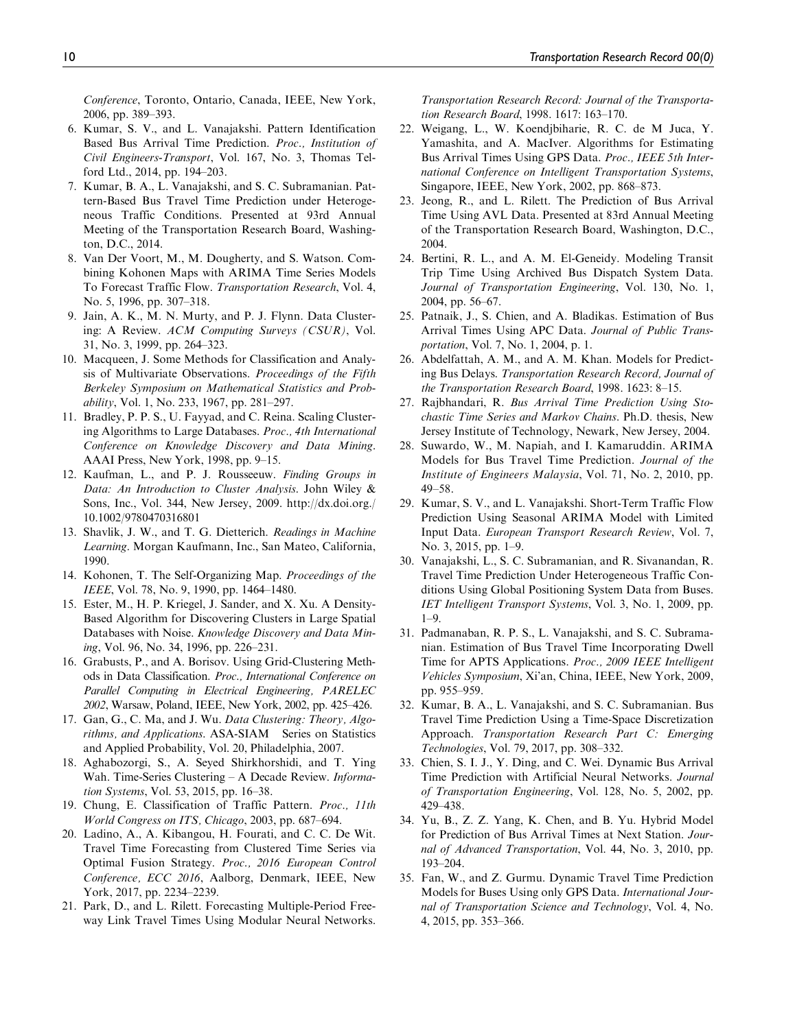*Conference*, Toronto, Ontario, Canada, IEEE, New York, 2006, pp. 389–393.

- 6. Kumar, S. V., and L. Vanajakshi. Pattern Identification Based Bus Arrival Time Prediction. *Proc., Institution of Civil Engineers-Transport*, Vol. 167, No. 3, Thomas Telford Ltd., 2014, pp. 194–203.
- 7. Kumar, B. A., L. Vanajakshi, and S. C. Subramanian. Pattern-Based Bus Travel Time Prediction under Heterogeneous Traffic Conditions. Presented at 93rd Annual Meeting of the Transportation Research Board, Washington, D.C., 2014.
- 8. Van Der Voort, M., M. Dougherty, and S. Watson. Combining Kohonen Maps with ARIMA Time Series Models To Forecast Traffic Flow. *Transportation Research*, Vol. 4, No. 5, 1996, pp. 307–318.
- 9. Jain, A. K., M. N. Murty, and P. J. Flynn. Data Clustering: A Review. *ACM Computing Surveys (CSUR)*, Vol. 31, No. 3, 1999, pp. 264–323.
- 10. Macqueen, J. Some Methods for Classification and Analysis of Multivariate Observations. *Proceedings of the Fifth Berkeley Symposium on Mathematical Statistics and Probability*, Vol. 1, No. 233, 1967, pp. 281–297.
- 11. Bradley, P. P. S., U. Fayyad, and C. Reina. Scaling Clustering Algorithms to Large Databases. *Proc., 4th International Conference on Knowledge Discovery and Data Mining*. AAAI Press, New York, 1998, pp. 9–15.
- 12. Kaufman, L., and P. J. Rousseeuw. *Finding Groups in Data: An Introduction to Cluster Analysis*. John Wiley & Sons, Inc., Vol. 344, New Jersey, 2009. http://dx.doi.org./ 10.1002/9780470316801
- 13. Shavlik, J. W., and T. G. Dietterich. *Readings in Machine Learning*. Morgan Kaufmann, Inc., San Mateo, California, 1990.
- 14. Kohonen, T. The Self-Organizing Map. *Proceedings of the IEEE*, Vol. 78, No. 9, 1990, pp. 1464–1480.
- 15. Ester, M., H. P. Kriegel, J. Sander, and X. Xu. A Density-Based Algorithm for Discovering Clusters in Large Spatial Databases with Noise. *Knowledge Discovery and Data Mining*, Vol. 96, No. 34, 1996, pp. 226–231.
- 16. Grabusts, P., and A. Borisov. Using Grid-Clustering Methods in Data Classification. *Proc., International Conference on Parallel Computing in Electrical Engineering, PARELEC 2002*, Warsaw, Poland, IEEE, New York, 2002, pp. 425–426.
- 17. Gan, G., C. Ma, and J. Wu. *Data Clustering: Theory, Algorithms, and Applications*. ASA-SIAM Series on Statistics and Applied Probability, Vol. 20, Philadelphia, 2007.
- 18. Aghabozorgi, S., A. Seyed Shirkhorshidi, and T. Ying Wah. Time-Series Clustering – A Decade Review. *Information Systems*, Vol. 53, 2015, pp. 16–38.
- 19. Chung, E. Classification of Traffic Pattern. *Proc., 11th World Congress on ITS, Chicago*, 2003, pp. 687–694.
- 20. Ladino, A., A. Kibangou, H. Fourati, and C. C. De Wit. Travel Time Forecasting from Clustered Time Series via Optimal Fusion Strategy. *Proc., 2016 European Control Conference, ECC 2016*, Aalborg, Denmark, IEEE, New York, 2017, pp. 2234–2239.
- 21. Park, D., and L. Rilett. Forecasting Multiple-Period Freeway Link Travel Times Using Modular Neural Networks.

*Transportation Research Record: Journal of the Transportation Research Board*, 1998. 1617: 163–170.

- 22. Weigang, L., W. Koendjbiharie, R. C. de M Juca, Y. Yamashita, and A. MacIver. Algorithms for Estimating Bus Arrival Times Using GPS Data. *Proc., IEEE 5th International Conference on Intelligent Transportation Systems*, Singapore, IEEE, New York, 2002, pp. 868–873.
- 23. Jeong, R., and L. Rilett. The Prediction of Bus Arrival Time Using AVL Data. Presented at 83rd Annual Meeting of the Transportation Research Board, Washington, D.C., 2004.
- 24. Bertini, R. L., and A. M. El-Geneidy. Modeling Transit Trip Time Using Archived Bus Dispatch System Data. *Journal of Transportation Engineering*, Vol. 130, No. 1, 2004, pp. 56–67.
- 25. Patnaik, J., S. Chien, and A. Bladikas. Estimation of Bus Arrival Times Using APC Data. *Journal of Public Transportation*, Vol. 7, No. 1, 2004, p. 1.
- 26. Abdelfattah, A. M., and A. M. Khan. Models for Predicting Bus Delays. *Transportation Research Record, Journal of the Transportation Research Board*, 1998. 1623: 8–15.
- 27. Rajbhandari, R. *Bus Arrival Time Prediction Using Stochastic Time Series and Markov Chains*. Ph.D. thesis, New Jersey Institute of Technology, Newark, New Jersey, 2004.
- 28. Suwardo, W., M. Napiah, and I. Kamaruddin. ARIMA Models for Bus Travel Time Prediction. *Journal of the Institute of Engineers Malaysia*, Vol. 71, No. 2, 2010, pp. 49–58.
- 29. Kumar, S. V., and L. Vanajakshi. Short-Term Traffic Flow Prediction Using Seasonal ARIMA Model with Limited Input Data. *European Transport Research Review*, Vol. 7, No. 3, 2015, pp. 1–9.
- 30. Vanajakshi, L., S. C. Subramanian, and R. Sivanandan, R. Travel Time Prediction Under Heterogeneous Traffic Conditions Using Global Positioning System Data from Buses. *IET Intelligent Transport Systems*, Vol. 3, No. 1, 2009, pp. 1–9.
- 31. Padmanaban, R. P. S., L. Vanajakshi, and S. C. Subramanian. Estimation of Bus Travel Time Incorporating Dwell Time for APTS Applications. *Proc., 2009 IEEE Intelligent Vehicles Symposium*, Xi'an, China, IEEE, New York, 2009, pp. 955–959.
- 32. Kumar, B. A., L. Vanajakshi, and S. C. Subramanian. Bus Travel Time Prediction Using a Time-Space Discretization Approach. *Transportation Research Part C: Emerging Technologies*, Vol. 79, 2017, pp. 308–332.
- 33. Chien, S. I. J., Y. Ding, and C. Wei. Dynamic Bus Arrival Time Prediction with Artificial Neural Networks. *Journal of Transportation Engineering*, Vol. 128, No. 5, 2002, pp. 429–438.
- 34. Yu, B., Z. Z. Yang, K. Chen, and B. Yu. Hybrid Model for Prediction of Bus Arrival Times at Next Station. *Journal of Advanced Transportation*, Vol. 44, No. 3, 2010, pp. 193–204.
- 35. Fan, W., and Z. Gurmu. Dynamic Travel Time Prediction Models for Buses Using only GPS Data. *International Journal of Transportation Science and Technology*, Vol. 4, No. 4, 2015, pp. 353–366.